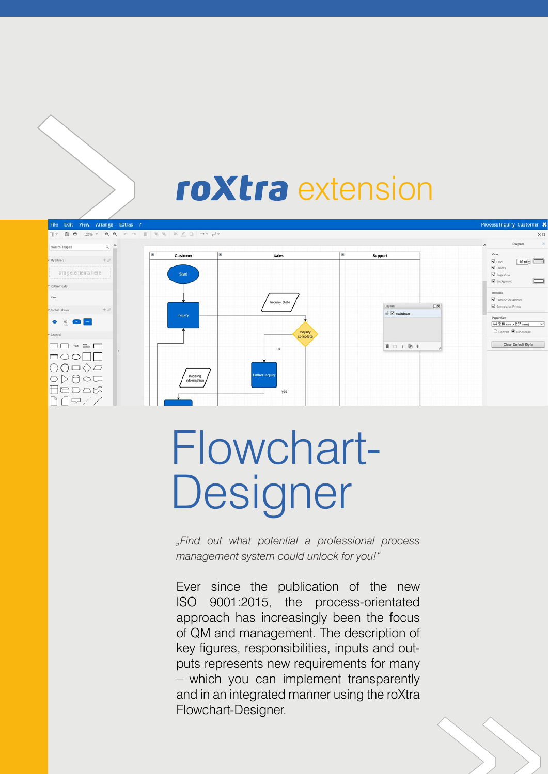## roXtra extension

| File Edit View Arrange Extras ?                                                                        |              |                                |                          |              |                     |           | Process Inquiry_Customer X                                                                                                                                        |
|--------------------------------------------------------------------------------------------------------|--------------|--------------------------------|--------------------------|--------------|---------------------|-----------|-------------------------------------------------------------------------------------------------------------------------------------------------------------------|
|                                                                                                        |              |                                |                          |              |                     |           | 公団                                                                                                                                                                |
| Search shapes                                                                                          | $Q^{\prime}$ |                                |                          |              |                     |           | $\times$<br>Diagram<br>$\hat{}$                                                                                                                                   |
| $+0$<br>- My Library<br>,,,,,,,,,,,,,,,,,,,,,,,,,,,,,,,,,,,,,<br>Drag elements here<br>" roXtra Fields |              | le<br>Customer<br><b>Start</b> | $\equiv$<br><b>Sales</b> | e<br>Support |                     |           | <b>View</b><br>$10$ pt $\oplus$ $\Box$<br>$\boxtimes$ Grid<br>$\overline{\mathbf{M}}$ Guides<br><b>Z</b> Page View<br>$\qquad \qquad \Box$<br><b>E</b> Background |
| Field                                                                                                  |              |                                | Inquiry Data             |              | Layers              | $\square$ | Options<br>Connection Arrows<br>Connection Points                                                                                                                 |
| $+2$<br>· Global Library<br>$\bullet$ : $\bullet$ $\blacksquare$<br>General                            |              | Inquiry                        | Inquiry<br>complete      |              | $6 \nabla$ Swimbook |           | Paper Size<br>A4 (210 mm x 297 mm)<br>$\checkmark$<br>O Portrait @ Landscape                                                                                      |
| $\Box$ $\Box$<br>Text plants                                                                           |              |                                |                          |              | 首 白   唐 十           |           | Clear Default Style                                                                                                                                               |
| $\bigcirc$ O $\Box \Diamond \varphi$<br>$\geq$ $\theta$ oci<br>ODAX<br>⋤                               |              | missing<br>information         | further inquiry<br>yes   |              |                     |           |                                                                                                                                                                   |

# Flowchart-Designer

*"Find out what potential a professional process management system could unlock for you!"*

Ever since the publication of the new ISO 9001:2015, the process-orientated approach has increasingly been the focus of QM and management. The description of key figures, responsibilities, inputs and outputs represents new requirements for many – which you can implement transparently and in an integrated manner using the roXtra Flowchart-Designer.

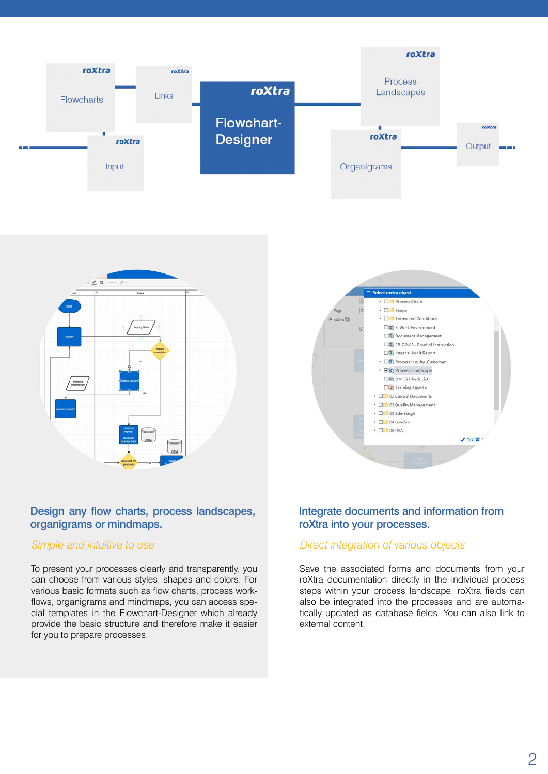



#### $\Box$  Select roxtra object ▶ □ Process Chain  $\overline{\phantom{a}}$   $\Box$  Scope Page  $\triangleright$   $\square$  Terms and Conditions  $\overline{a}$  mXtra $\overline{b}$ 5 6. Work Environment Document Management □图 FB-7-2-03 - Proof of Instruction Offi Internal Audit Report ▶ □<sup>3</sup> Process Inquiry\_Customer > 2<sup>9</sup> Process Landscape On QMC-8 Check List <sup>1</sup>/<sub>2</sub> Training Agenda  $\overline{\phantom{a}}$   $\Box$  01 Central Documents ▶ □■ 02 Quality Management  $\triangleright$   $\square$  03 Edinburgh  $\triangleright$   $\Box$  04 London  $\triangleright$   $\Box$  05 USA J OK X

#### Design any flow charts, process landscapes, organigrams or mindmaps.

#### *Simple and intuitive to use*

To present your processes clearly and transparently, you can choose from various styles, shapes and colors. For various basic formats such as flow charts, process workflows, organigrams and mindmaps, you can access special templates in the Flowchart-Designer which already provide the basic structure and therefore make it easier for you to prepare processes.

### Integrate documents and information from roXtra into your processes.

#### *Direct integration of various objects*

Save the associated forms and documents from your roXtra documentation directly in the individual process steps within your process landscape. roXtra fields can also be integrated into the processes and are automatically updated as database fields. You can also link to external content.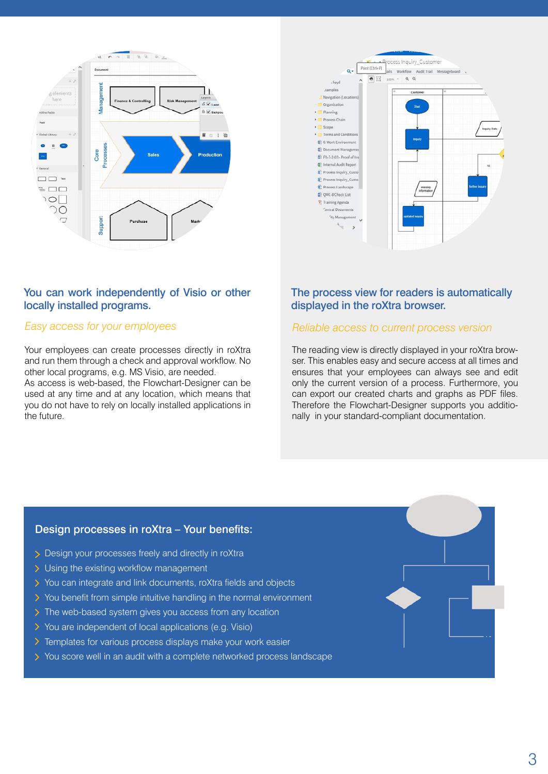

#### You can work independently of Visio or other locally installed programs.

#### *Easy access for your employees*

Your employees can create processes directly in roXtra and run them through a check and approval workflow. No other local programs, e.g. MS Visio, are needed.

As access is web-based, the Flowchart-Designer can be used at any time and at any location, which means that you do not have to rely on locally installed applications in the future.



### The process view for readers is automatically displayed in the roXtra browser.

#### *Reliable access to current process version*

The reading view is directly displayed in your roXtra browser. This enables easy and secure access at all times and ensures that your employees can always see and edit only the current version of a process. Furthermore, you can export our created charts and graphs as PDF files. Therefore the Flowchart-Designer supports you additionally in your standard-compliant documentation.

#### Design processes in roXtra – Your benefits:

- Design your processes freely and directly in roXtra
- > Using the existing workflow management
- You can integrate and link documents, roXtra fields and objects
- $\geq$  You benefit from simple intuitive handling in the normal environment
- > The web-based system gives you access from any location
- You are independent of local applications (e.g. Visio)
- $\sum$  Templates for various process displays make your work easier
- You score well in an audit with a complete networked process landscape